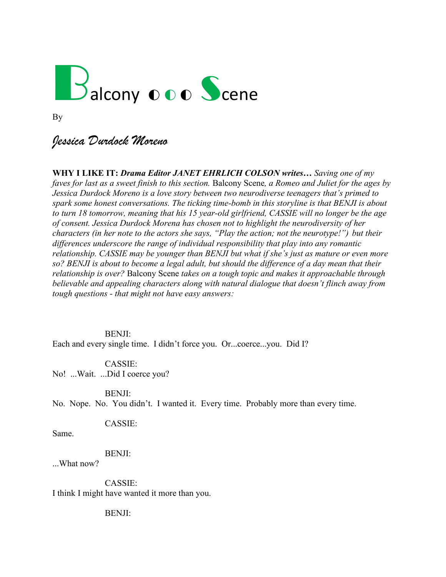

By

# *Jessica Durdock Moreno*

**WHY I LIKE IT:** *Drama Editor JANET EHRLICH COLSON writes… Saving one of my faves for last as a sweet finish to this section.* Balcony Scene*, a Romeo and Juliet for the ages by Jessica Durdock Moreno is a love story between two neurodiverse teenagers that's primed to spark some honest conversations. The ticking time-bomb in this storyline is that BENJI is about to turn 18 tomorrow, meaning that his 15 year-old girlfriend, CASSIE will no longer be the age of consent. Jessica Durdock Morena has chosen not to highlight the neurodiversity of her characters (in her note to the actors she says, "Play the action; not the neurotype!") but their differences underscore the range of individual responsibility that play into any romantic relationship. CASSIE may be younger than BENJI but what if she's just as mature or even more so? BENJI is about to become a legal adult, but should the difference of a day mean that their relationship is over?* Balcony Scene *takes on a tough topic and makes it approachable through believable and appealing characters along with natural dialogue that doesn't flinch away from tough questions - that might not have easy answers:* 

BENJI:

Each and every single time. I didn't force you. Or...coerce...you. Did I?

CASSIE: No! ...Wait. ...Did I coerce you?

BENJI:

No. Nope. No. You didn't. I wanted it. Every time. Probably more than every time.

CASSIE:

Same.

BENJI:

...What now?

CASSIE: I think I might have wanted it more than you.

BENJI: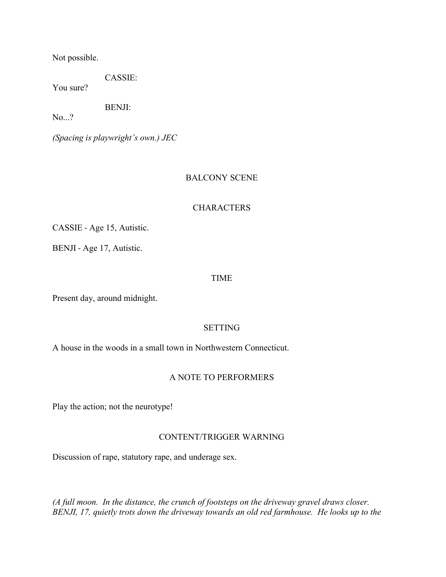Not possible.

CASSIE:

You sure?

BENJI:

No...?

*(Spacing is playwright's own.) JEC*

# BALCONY SCENE

### **CHARACTERS**

CASSIE - Age 15, Autistic.

BENJI - Age 17, Autistic.

### TIME

Present day, around midnight.

### SETTING

A house in the woods in a small town in Northwestern Connecticut.

### A NOTE TO PERFORMERS

Play the action; not the neurotype!

### CONTENT/TRIGGER WARNING

Discussion of rape, statutory rape, and underage sex.

*(A full moon. In the distance, the crunch of footsteps on the driveway gravel draws closer. BENJI, 17, quietly trots down the driveway towards an old red farmhouse. He looks up to the*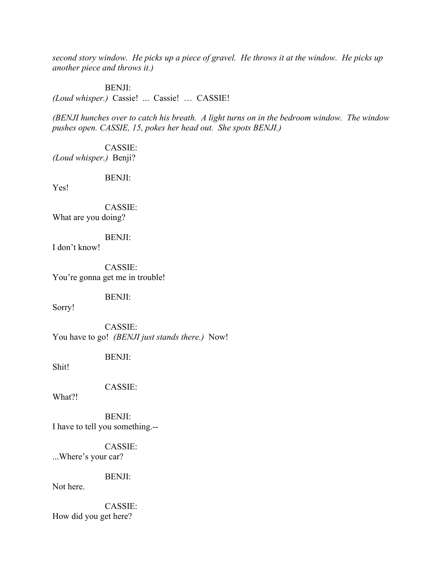*second story window. He picks up a piece of gravel. He throws it at the window. He picks up another piece and throws it.)*

BENJI:

*(Loud whisper.)* Cassie! ... Cassie! … CASSIE!

*(BENJI hunches over to catch his breath. A light turns on in the bedroom window. The window pushes open. CASSIE, 15, pokes her head out. She spots BENJI.)*

CASSIE: *(Loud whisper.)* Benji?

BENJI:

Yes!

CASSIE: What are you doing?

BENJI:

I don't know!

CASSIE: You're gonna get me in trouble!

BENJI:

Sorry!

CASSIE: You have to go! *(BENJI just stands there.)* Now!

BENJI:

Shit!

CASSIE:

What?!

BENJI: I have to tell you something.--

CASSIE: ...Where's your car?

BENJI:

Not here.

CASSIE: How did you get here?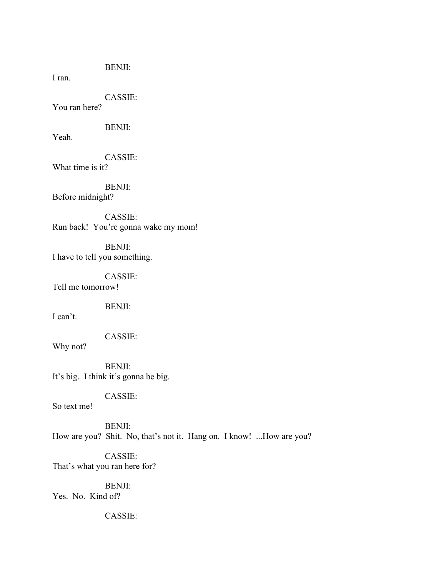BENJI:

I ran.

CASSIE:

You ran here?

BENJI:

Yeah.

CASSIE:

What time is it?

BENJI: Before midnight?

CASSIE: Run back! You're gonna wake my mom!

BENJI: I have to tell you something.

CASSIE: Tell me tomorrow!

BENJI:

I can't.

CASSIE:

Why not?

BENJI: It's big. I think it's gonna be big.

CASSIE:

So text me!

BENJI: How are you? Shit. No, that's not it. Hang on. I know! ...How are you?

CASSIE: That's what you ran here for?

BENJI: Yes. No. Kind of?

CASSIE: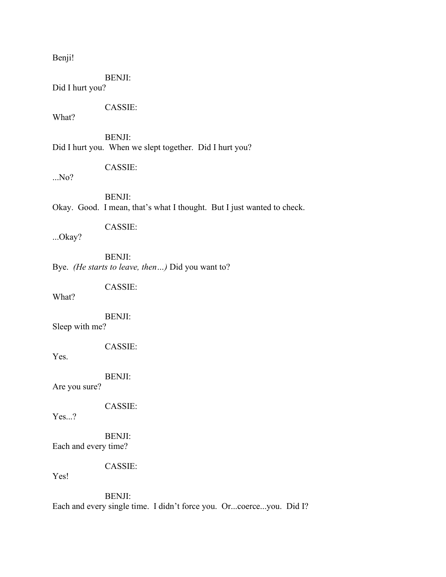Benji!

BENJI:

Did I hurt you?

CASSIE:

What?

BENJI: Did I hurt you. When we slept together. Did I hurt you?

CASSIE:

...No?

BENJI: Okay. Good. I mean, that's what I thought. But I just wanted to check.

CASSIE:

...Okay?

BENJI: Bye. *(He starts to leave, then…)* Did you want to?

CASSIE:

What?

BENJI:

Sleep with me?

CASSIE:

Yes.

BENJI:

Are you sure?

CASSIE:

Yes...?

BENJI: Each and every time?

CASSIE:

Yes!

BENJI: Each and every single time. I didn't force you. Or...coerce...you. Did I?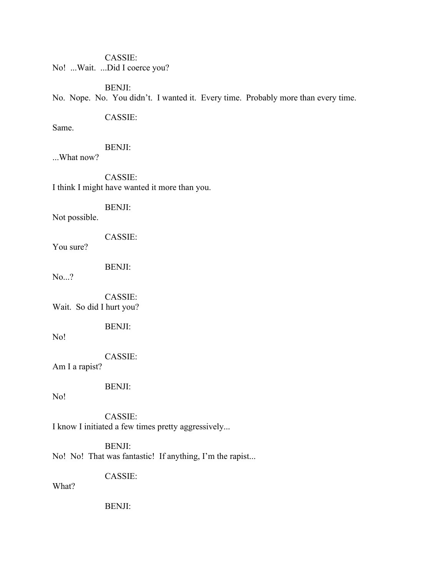CASSIE: No! ...Wait. ...Did I coerce you?

BENJI:

No. Nope. No. You didn't. I wanted it. Every time. Probably more than every time.

# CASSIE:

Same.

### BENJI:

...What now?

CASSIE: I think I might have wanted it more than you.

BENJI:

Not possible.

CASSIE:

You sure?

BENJI:

No...?

CASSIE: Wait. So did I hurt you?

BENJI:

No!

CASSIE:

Am I a rapist?

BENJI:

No!

CASSIE: I know I initiated a few times pretty aggressively...

BENJI: No! No! That was fantastic! If anything, I'm the rapist...

CASSIE:

What?

BENJI: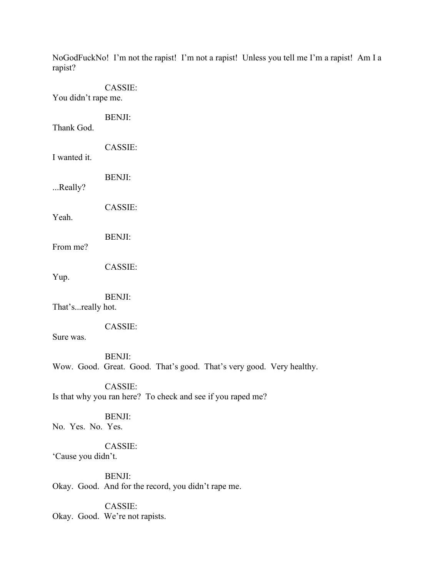| rapist?             | NoGodFuckNo! I'm not the rapist! I'm not a rapist! Unless you tell me I'm a rapist! Am I a |
|---------------------|--------------------------------------------------------------------------------------------|
| You didn't rape me. | CASSIE:                                                                                    |
| Thank God.          | <b>BENJI:</b>                                                                              |
| I wanted it.        | CASSIE:                                                                                    |
| Really?             | <b>BENJI:</b>                                                                              |
| Yeah.               | CASSIE:                                                                                    |
| From me?            | <b>BENJI:</b>                                                                              |
| Yup.                | CASSIE:                                                                                    |
| That'sreally hot.   | <b>BENJI:</b>                                                                              |
| Sure was.           | CASSIE:                                                                                    |
|                     | <b>BENJI:</b><br>Wow. Good. Great. Good. That's good. That's very good. Very healthy.      |
|                     | CASSIE:<br>Is that why you ran here? To check and see if you raped me?                     |
| No. Yes. No. Yes.   | <b>BENJI:</b>                                                                              |
| 'Cause you didn't.  | CASSIE:                                                                                    |
|                     | <b>BENJI:</b>                                                                              |

Okay. Good. And for the record, you didn't rape me.

CASSIE: Okay. Good. We're not rapists.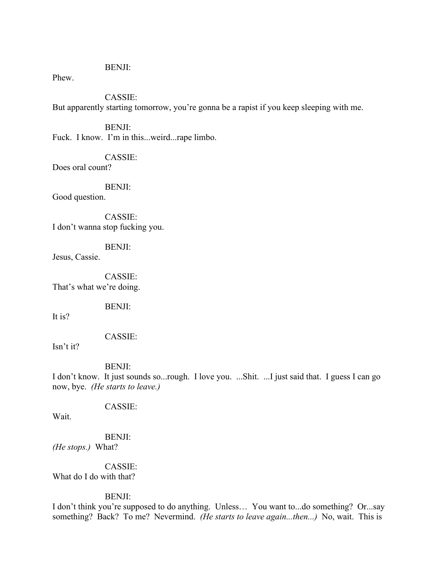#### BENJI:

### Phew.

# CASSIE:

But apparently starting tomorrow, you're gonna be a rapist if you keep sleeping with me.

BENJI: Fuck. I know. I'm in this...weird...rape limbo.

CASSIE:

Does oral count?

BENJI:

Good question.

CASSIE: I don't wanna stop fucking you.

BENJI:

Jesus, Cassie.

CASSIE: That's what we're doing.

BENJI:

It is?

CASSIE:

Isn't it?

#### BENJI:

I don't know. It just sounds so...rough. I love you. ...Shit. ...I just said that. I guess I can go now, bye. *(He starts to leave.)*

CASSIE:

Wait.

BENJI: *(He stops.)* What?

CASSIE: What do I do with that?

### BENJI:

I don't think you're supposed to do anything. Unless… You want to...do something? Or...say something? Back? To me? Nevermind. *(He starts to leave again...then...)* No, wait. This is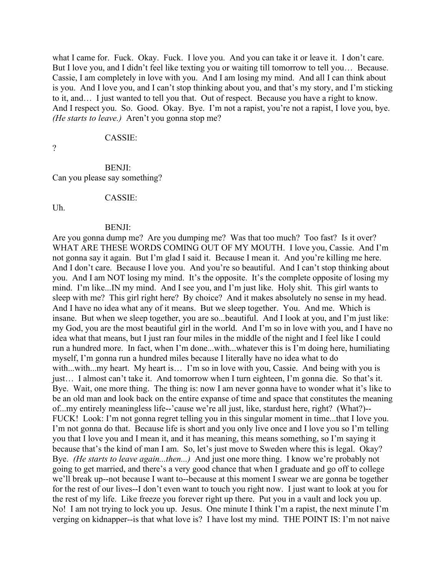what I came for. Fuck. Okay. Fuck. I love you. And you can take it or leave it. I don't care. But I love you, and I didn't feel like texting you or waiting till tomorrow to tell you… Because. Cassie, I am completely in love with you. And I am losing my mind. And all I can think about is you. And I love you, and I can't stop thinking about you, and that's my story, and I'm sticking to it, and… I just wanted to tell you that. Out of respect. Because you have a right to know. And I respect you. So. Good. Okay. Bye. I'm not a rapist, you're not a rapist, I love you, bye. *(He starts to leave.)* Aren't you gonna stop me?

#### CASSIE:

?

# BENJI:

Can you please say something?

#### CASSIE:

Uh.

#### BENJI:

Are you gonna dump me? Are you dumping me? Was that too much? Too fast? Is it over? WHAT ARE THESE WORDS COMING OUT OF MY MOUTH. I love you, Cassie. And I'm not gonna say it again. But I'm glad I said it. Because I mean it. And you're killing me here. And I don't care. Because I love you. And you're so beautiful. And I can't stop thinking about you. And I am NOT losing my mind. It's the opposite. It's the complete opposite of losing my mind. I'm like...IN my mind. And I see you, and I'm just like. Holy shit. This girl wants to sleep with me? This girl right here? By choice? And it makes absolutely no sense in my head. And I have no idea what any of it means. But we sleep together. You. And me. Which is insane. But when we sleep together, you are so...beautiful. And I look at you, and I'm just like: my God, you are the most beautiful girl in the world. And I'm so in love with you, and I have no idea what that means, but I just ran four miles in the middle of the night and I feel like I could run a hundred more. In fact, when I'm done...with...whatever this is I'm doing here, humiliating myself, I'm gonna run a hundred miles because I literally have no idea what to do with...with...my heart. My heart is... I'm so in love with you, Cassie. And being with you is just… I almost can't take it. And tomorrow when I turn eighteen, I'm gonna die. So that's it. Bye. Wait, one more thing. The thing is: now I am never gonna have to wonder what it's like to be an old man and look back on the entire expanse of time and space that constitutes the meaning of...my entirely meaningless life--'cause we're all just, like, stardust here, right? (What?)-- FUCK! Look: I'm not gonna regret telling you in this singular moment in time...that I love you. I'm not gonna do that. Because life is short and you only live once and I love you so I'm telling you that I love you and I mean it, and it has meaning, this means something, so I'm saying it because that's the kind of man I am. So, let's just move to Sweden where this is legal. Okay? Bye. *(He starts to leave again...then...)* And just one more thing. I know we're probably not going to get married, and there's a very good chance that when I graduate and go off to college we'll break up--not because I want to--because at this moment I swear we are gonna be together for the rest of our lives--I don't even want to touch you right now. I just want to look at you for the rest of my life. Like freeze you forever right up there. Put you in a vault and lock you up. No! I am not trying to lock you up. Jesus. One minute I think I'm a rapist, the next minute I'm verging on kidnapper--is that what love is? I have lost my mind. THE POINT IS: I'm not naive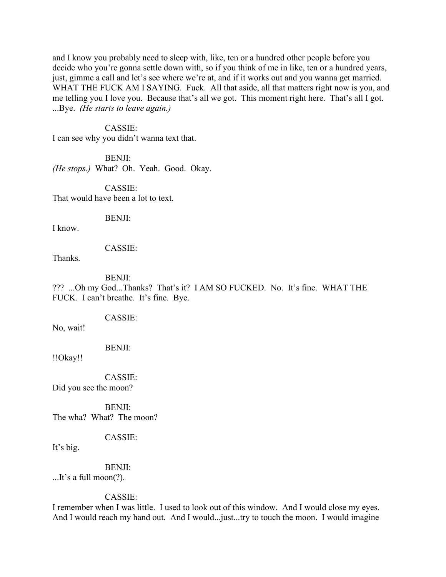and I know you probably need to sleep with, like, ten or a hundred other people before you decide who you're gonna settle down with, so if you think of me in like, ten or a hundred years, just, gimme a call and let's see where we're at, and if it works out and you wanna get married. WHAT THE FUCK AM I SAYING. Fuck. All that aside, all that matters right now is you, and me telling you I love you. Because that's all we got. This moment right here. That's all I got. ...Bye. *(He starts to leave again.)*

#### CASSIE:

I can see why you didn't wanna text that.

BENJI: *(He stops.)* What? Oh. Yeah. Good. Okay.

CASSIE: That would have been a lot to text.

BENJI:

I know.

#### CASSIE:

Thanks.

#### BENJI:

??? ...Oh my God...Thanks? That's it? I AM SO FUCKED. No. It's fine. WHAT THE FUCK. I can't breathe. It's fine. Bye.

CASSIE:

No, wait!

BENJI:

!!Okay!!

CASSIE: Did you see the moon?

BENJI: The wha? What? The moon?

CASSIE:

It's big.

BENJI: ...It's a full moon(?).

CASSIE:

I remember when I was little. I used to look out of this window. And I would close my eyes. And I would reach my hand out. And I would...just...try to touch the moon. I would imagine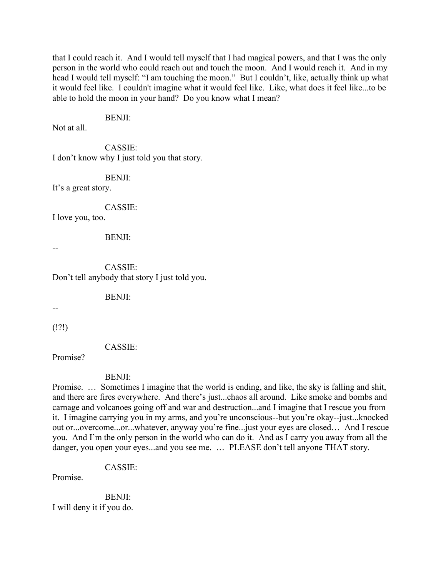that I could reach it. And I would tell myself that I had magical powers, and that I was the only person in the world who could reach out and touch the moon. And I would reach it. And in my head I would tell myself: "I am touching the moon." But I couldn't, like, actually think up what it would feel like. I couldn't imagine what it would feel like. Like, what does it feel like...to be able to hold the moon in your hand? Do you know what I mean?

#### BENJI:

Not at all.

CASSIE: I don't know why I just told you that story.

BENJI:

It's a great story.

CASSIE:

I love you, too.

#### BENJI:

--

CASSIE: Don't tell anybody that story I just told you.

BENJI:

--

(!?!)

CASSIE:

Promise?

#### BENJI:

Promise. … Sometimes I imagine that the world is ending, and like, the sky is falling and shit, and there are fires everywhere. And there's just...chaos all around. Like smoke and bombs and carnage and volcanoes going off and war and destruction...and I imagine that I rescue you from it. I imagine carrying you in my arms, and you're unconscious--but you're okay--just...knocked out or...overcome...or...whatever, anyway you're fine...just your eyes are closed… And I rescue you. And I'm the only person in the world who can do it. And as I carry you away from all the danger, you open your eyes...and you see me. … PLEASE don't tell anyone THAT story.

CASSIE:

Promise.

BENJI: I will deny it if you do.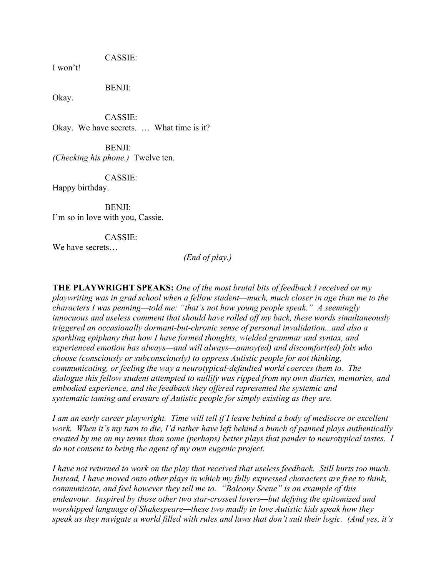CASSIE:

I won't!

BENJI:

Okay.

CASSIE: Okay. We have secrets. … What time is it?

BENJI: *(Checking his phone.)* Twelve ten.

CASSIE:

Happy birthday.

BENJI: I'm so in love with you, Cassie.

CASSIE:

We have secrets…

*(End of play.)*

**THE PLAYWRIGHT SPEAKS:** *One of the most brutal bits of feedback I received on my playwriting was in grad school when a fellow student—much, much closer in age than me to the characters I was penning—told me: "that's not how young people speak." A seemingly innocuous and useless comment that should have rolled off my back, these words simultaneously triggered an occasionally dormant-but-chronic sense of personal invalidation...and also a sparkling epiphany that how I have formed thoughts, wielded grammar and syntax, and experienced emotion has always—and will always—annoy(ed) and discomfort(ed) folx who choose (consciously or subconsciously) to oppress Autistic people for not thinking, communicating, or feeling the way a neurotypical-defaulted world coerces them to. The dialogue this fellow student attempted to nullify was ripped from my own diaries, memories, and embodied experience, and the feedback they offered represented the systemic and systematic taming and erasure of Autistic people for simply existing as they are.*

*I am an early career playwright. Time will tell if I leave behind a body of mediocre or excellent work. When it's my turn to die, I'd rather have left behind a bunch of panned plays authentically created by me on my terms than some (perhaps) better plays that pander to neurotypical tastes. I do not consent to being the agent of my own eugenic project.*

*I have not returned to work on the play that received that useless feedback. Still hurts too much. Instead, I have moved onto other plays in which my fully expressed characters are free to think, communicate, and feel however they tell me to. "Balcony Scene" is an example of this endeavour. Inspired by those other two star-crossed lovers—but defying the epitomized and worshipped language of Shakespeare—these two madly in love Autistic kids speak how they speak as they navigate a world filled with rules and laws that don't suit their logic. (And yes, it's*